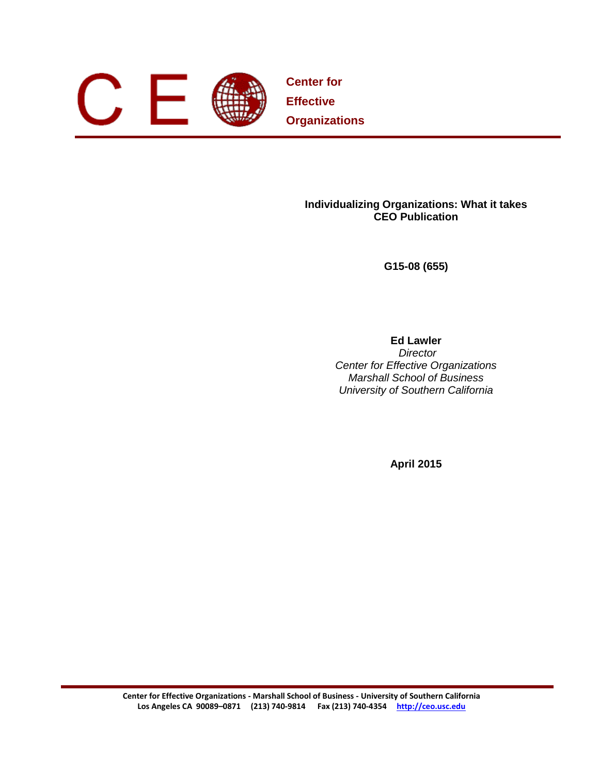

**Center for Effective Organizations**

## **Individualizing Organizations: What it takes CEO Publication**

**G15-08 (655)**

**Ed Lawler**

*Director Center for Effective Organizations Marshall School of Business University of Southern California*

**April 2015**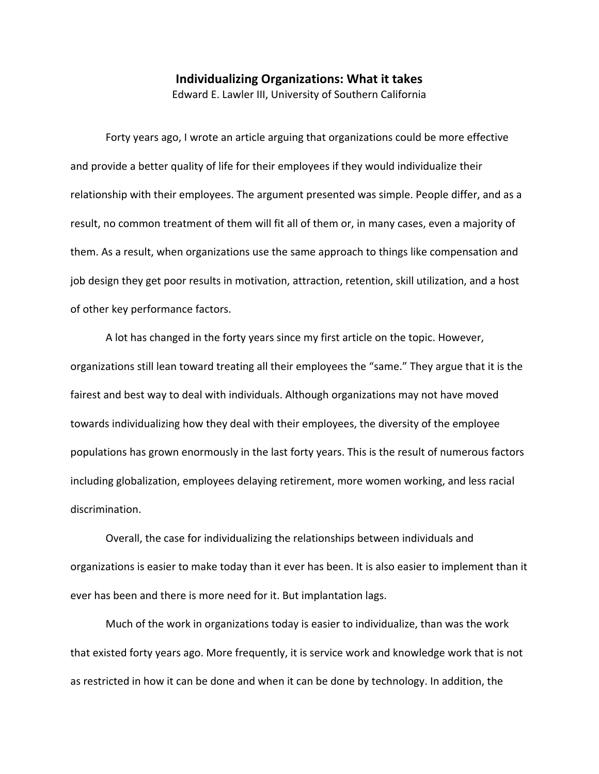## **Individualizing Organizations: What it takes**

Edward E. Lawler III, University of Southern California

Forty years ago, I wrote an article arguing that organizations could be more effective and provide a better quality of life for their employees if they would individualize their relationship with their employees. The argument presented was simple. People differ, and as a result, no common treatment of them will fit all of them or, in many cases, even a majority of them. As a result, when organizations use the same approach to things like compensation and job design they get poor results in motivation, attraction, retention, skill utilization, and a host of other key performance factors.

A lot has changed in the forty years since my first article on the topic. However, organizations still lean toward treating all their employees the "same." They argue that it is the fairest and best way to deal with individuals. Although organizations may not have moved towards individualizing how they deal with their employees, the diversity of the employee populations has grown enormously in the last forty years. This is the result of numerous factors including globalization, employees delaying retirement, more women working, and less racial discrimination.

Overall, the case for individualizing the relationships between individuals and organizations is easier to make today than it ever has been. It is also easier to implement than it ever has been and there is more need for it. But implantation lags.

Much of the work in organizations today is easier to individualize, than was the work that existed forty years ago. More frequently, it is service work and knowledge work that is not as restricted in how it can be done and when it can be done by technology. In addition, the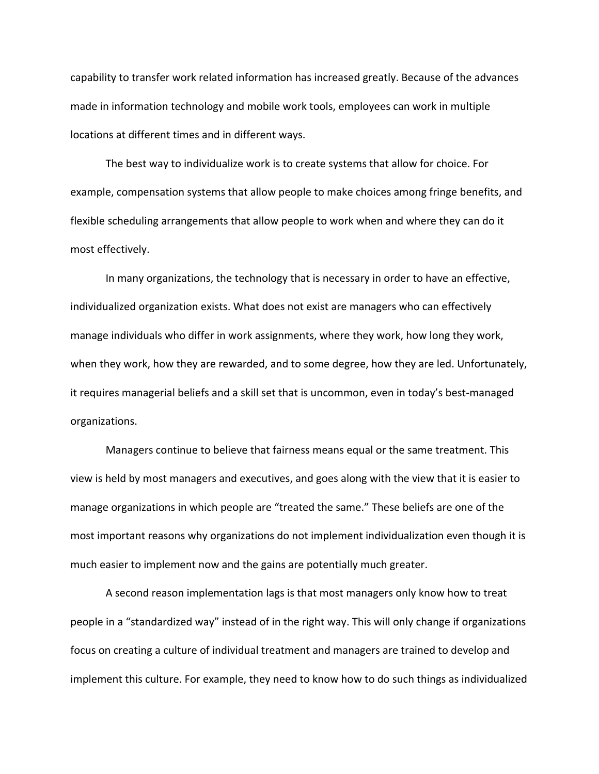capability to transfer work related information has increased greatly. Because of the advances made in information technology and mobile work tools, employees can work in multiple locations at different times and in different ways.

The best way to individualize work is to create systems that allow for choice. For example, compensation systems that allow people to make choices among fringe benefits, and flexible scheduling arrangements that allow people to work when and where they can do it most effectively.

In many organizations, the technology that is necessary in order to have an effective, individualized organization exists. What does not exist are managers who can effectively manage individuals who differ in work assignments, where they work, how long they work, when they work, how they are rewarded, and to some degree, how they are led. Unfortunately, it requires managerial beliefs and a skill set that is uncommon, even in today's best-managed organizations.

Managers continue to believe that fairness means equal or the same treatment. This view is held by most managers and executives, and goes along with the view that it is easier to manage organizations in which people are "treated the same." These beliefs are one of the most important reasons why organizations do not implement individualization even though it is much easier to implement now and the gains are potentially much greater.

A second reason implementation lags is that most managers only know how to treat people in a "standardized way" instead of in the right way. This will only change if organizations focus on creating a culture of individual treatment and managers are trained to develop and implement this culture. For example, they need to know how to do such things as individualized